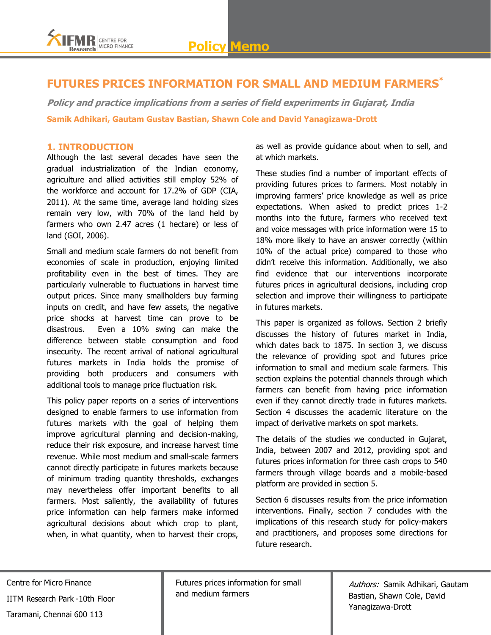

## **FUTURES PRICES INFORMATION FOR SMALL AND MEDIUM FARMERS\***

**Policy and practice implications from a series of field experiments in Gujarat, India Samik Adhikari, Gautam Gustav Bastian, Shawn Cole and David Yanagizawa-Drott** 

#### **1. INTRODUCTION**

Although the last several decades have seen the gradual industrialization of the Indian economy, agriculture and allied activities still employ 52% of the workforce and account for 17.2% of GDP (CIA, 2011). At the same time, average land holding sizes remain very low, with 70% of the land held by farmers who own 2.47 acres (1 hectare) or less of land (GOI, 2006).

Small and medium scale farmers do not benefit from economies of scale in production, enjoying limited profitability even in the best of times. They are particularly vulnerable to fluctuations in harvest time output prices. Since many smallholders buy farming inputs on credit, and have few assets, the negative price shocks at harvest time can prove to be disastrous. Even a 10% swing can make the difference between stable consumption and food insecurity. The recent arrival of national agricultural futures markets in India holds the promise of providing both producers and consumers with additional tools to manage price fluctuation risk.

This policy paper reports on a series of interventions designed to enable farmers to use information from futures markets with the goal of helping them improve agricultural planning and decision-making, reduce their risk exposure, and increase harvest time revenue. While most medium and small-scale farmers cannot directly participate in futures markets because of minimum trading quantity thresholds, exchanges may nevertheless offer important benefits to all farmers. Most saliently, the availability of futures price information can help farmers make informed agricultural decisions about which crop to plant, when, in what quantity, when to harvest their crops,

as well as provide guidance about when to sell, and at which markets.

These studies find a number of important effects of providing futures prices to farmers. Most notably in improving farmers" price knowledge as well as price expectations. When asked to predict prices 1-2 months into the future, farmers who received text and voice messages with price information were 15 to 18% more likely to have an answer correctly (within 10% of the actual price) compared to those who didn"t receive this information. Additionally, we also find evidence that our interventions incorporate futures prices in agricultural decisions, including crop selection and improve their willingness to participate in futures markets.

This paper is organized as follows. Section 2 briefly discusses the history of futures market in India, which dates back to 1875. In section 3, we discuss the relevance of providing spot and futures price information to small and medium scale farmers. This section explains the potential channels through which farmers can benefit from having price information even if they cannot directly trade in futures markets. Section 4 discusses the academic literature on the impact of derivative markets on spot markets.

The details of the studies we conducted in Gujarat, India, between 2007 and 2012, providing spot and futures prices information for three cash crops to 540 farmers through village boards and a mobile-based platform are provided in section 5.

Section 6 discusses results from the price information interventions. Finally, section 7 concludes with the implications of this research study for policy-makers and practitioners, and proposes some directions for future research.

Centre for Micro Finance IITM Research Park -10th Floor Taramani, Chennai 600 113

Futures prices information for small and medium farmers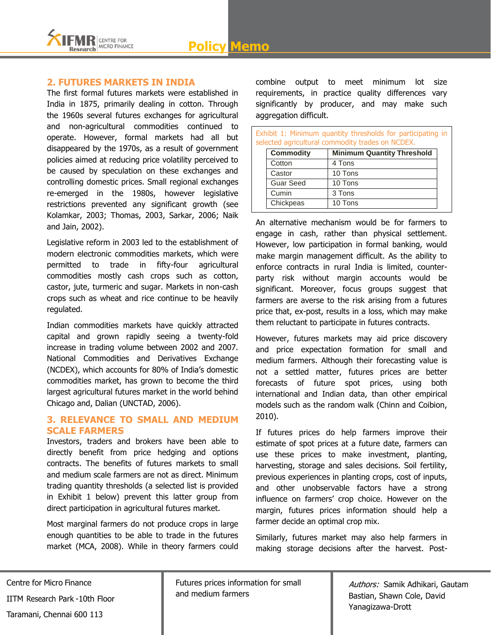

## **2. FUTURES MARKETS IN INDIA**

The first formal futures markets were established in India in 1875, primarily dealing in cotton. Through the 1960s several futures exchanges for agricultural and non-agricultural commodities continued to operate. However, formal markets had all but disappeared by the 1970s, as a result of government policies aimed at reducing price volatility perceived to be caused by speculation on these exchanges and controlling domestic prices. Small regional exchanges re-emerged in the 1980s, however legislative restrictions prevented any significant growth (see Kolamkar, 2003; Thomas, 2003, Sarkar, 2006; Naik and Jain, 2002).

Legislative reform in 2003 led to the establishment of modern electronic commodities markets, which were permitted to trade in fifty-four agricultural commodities mostly cash crops such as cotton, castor, jute, turmeric and sugar. Markets in non-cash crops such as wheat and rice continue to be heavily regulated.

Indian commodities markets have quickly attracted capital and grown rapidly seeing a twenty-fold increase in trading volume between 2002 and 2007. National Commodities and Derivatives Exchange (NCDEX), which accounts for 80% of India"s domestic commodities market, has grown to become the third largest agricultural futures market in the world behind Chicago and, Dalian (UNCTAD, 2006).

## **3. RELEVANCE TO SMALL AND MEDIUM SCALE FARMERS**

Investors, traders and brokers have been able to directly benefit from price hedging and options contracts. The benefits of futures markets to small and medium scale farmers are not as direct. Minimum trading quantity thresholds (a selected list is provided in Exhibit 1 below) prevent this latter group from direct participation in agricultural futures market.

Most marginal farmers do not produce crops in large enough quantities to be able to trade in the futures market (MCA, 2008). While in theory farmers could

combine output to meet minimum lot size requirements, in practice quality differences vary significantly by producer, and may make such aggregation difficult.

|                  | Exhibit 1: Minimum quantity thresholds for participating in<br>selected agricultural commodity trades on NCDEX. |  |
|------------------|-----------------------------------------------------------------------------------------------------------------|--|
| <b>Commodity</b> | <b>Minimum Quantity Threshold</b>                                                                               |  |
| Cotton           | 4 Tons                                                                                                          |  |
| Castor           | 10 Tons                                                                                                         |  |
| <b>Guar Seed</b> | 10 Tons                                                                                                         |  |
| Cumin            | 3 Tons                                                                                                          |  |
| Chickpeas        | 10 Tons                                                                                                         |  |

An alternative mechanism would be for farmers to engage in cash, rather than physical settlement. However, low participation in formal banking, would make margin management difficult. As the ability to enforce contracts in rural India is limited, counterparty risk without margin accounts would be significant. Moreover, focus groups suggest that farmers are averse to the risk arising from a futures price that, ex-post, results in a loss, which may make them reluctant to participate in futures contracts.

However, futures markets may aid price discovery and price expectation formation for small and medium farmers. Although their forecasting value is not a settled matter, futures prices are better forecasts of future spot prices, using both international and Indian data, than other empirical models such as the random walk (Chinn and Coibion, 2010).

If futures prices do help farmers improve their estimate of spot prices at a future date, farmers can use these prices to make investment, planting, harvesting, storage and sales decisions. Soil fertility, previous experiences in planting crops, cost of inputs, and other unobservable factors have a strong influence on farmers' crop choice. However on the margin, futures prices information should help a farmer decide an optimal crop mix.

Similarly, futures market may also help farmers in making storage decisions after the harvest. Post-

Centre for Micro Finance IITM Research Park -10th Floor Taramani, Chennai 600 113

Futures prices information for small and medium farmers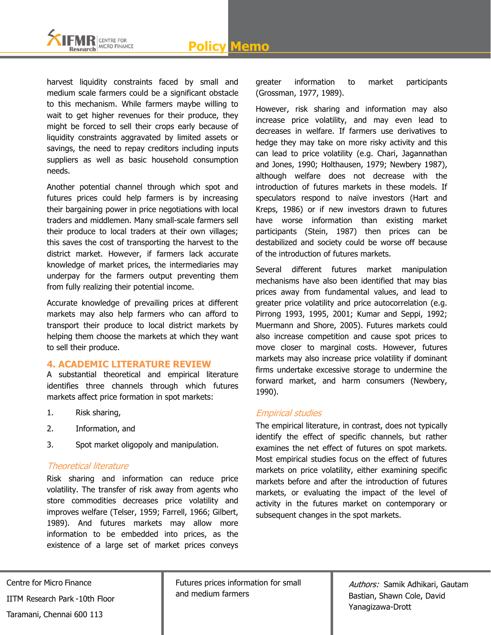

harvest liquidity constraints faced by small and medium scale farmers could be a significant obstacle to this mechanism. While farmers maybe willing to wait to get higher revenues for their produce, they might be forced to sell their crops early because of liquidity constraints aggravated by limited assets or savings, the need to repay creditors including inputs suppliers as well as basic household consumption needs.

Another potential channel through which spot and futures prices could help farmers is by increasing their bargaining power in price negotiations with local traders and middlemen. Many small-scale farmers sell their produce to local traders at their own villages; this saves the cost of transporting the harvest to the district market. However, if farmers lack accurate knowledge of market prices, the intermediaries may underpay for the farmers output preventing them from fully realizing their potential income.

Accurate knowledge of prevailing prices at different markets may also help farmers who can afford to transport their produce to local district markets by helping them choose the markets at which they want to sell their produce.

## **4. ACADEMIC LITERATURE REVIEW**

A substantial theoretical and empirical literature identifies three channels through which futures markets affect price formation in spot markets:

- 1. Risk sharing,
- 2. Information, and
- 3. Spot market oligopoly and manipulation.

## Theoretical literature

Risk sharing and information can reduce price volatility. The transfer of risk away from agents who store commodities decreases price volatility and improves welfare (Telser, 1959; Farrell, 1966; Gilbert, 1989). And futures markets may allow more information to be embedded into prices, as the existence of a large set of market prices conveys

greater information to market participants (Grossman, 1977, 1989).

However, risk sharing and information may also increase price volatility, and may even lead to decreases in welfare. If farmers use derivatives to hedge they may take on more risky activity and this can lead to price volatility (e.g. Chari, Jagannathan and Jones, 1990; Holthausen, 1979; Newbery 1987), although welfare does not decrease with the introduction of futures markets in these models. If speculators respond to naïve investors (Hart and Kreps, 1986) or if new investors drawn to futures have worse information than existing market participants (Stein, 1987) then prices can be destabilized and society could be worse off because of the introduction of futures markets.

Several different futures market manipulation mechanisms have also been identified that may bias prices away from fundamental values, and lead to greater price volatility and price autocorrelation (e.g. Pirrong 1993, 1995, 2001; Kumar and Seppi, 1992; Muermann and Shore, 2005). Futures markets could also increase competition and cause spot prices to move closer to marginal costs. However, futures markets may also increase price volatility if dominant firms undertake excessive storage to undermine the forward market, and harm consumers (Newbery, 1990).

## Empirical studies

The empirical literature, in contrast, does not typically identify the effect of specific channels, but rather examines the net effect of futures on spot markets. Most empirical studies focus on the effect of futures markets on price volatility, either examining specific markets before and after the introduction of futures markets, or evaluating the impact of the level of activity in the futures market on contemporary or subsequent changes in the spot markets.

Centre for Micro Finance IITM Research Park -10th Floor

Taramani, Chennai 600 113

Futures prices information for small and medium farmers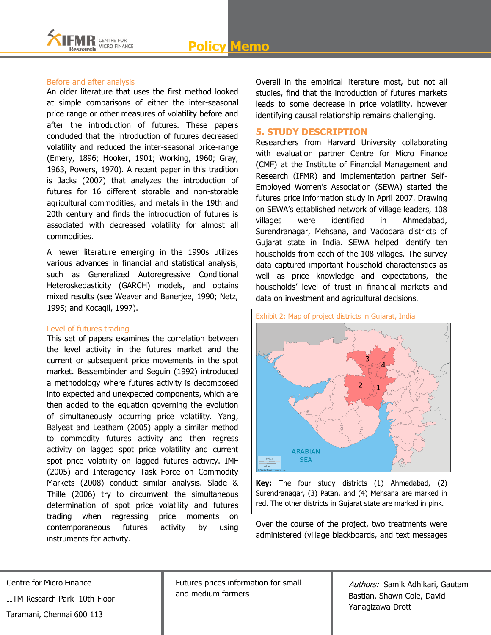# **Policy Memo**



#### Before and after analysis

An older literature that uses the first method looked at simple comparisons of either the inter-seasonal price range or other measures of volatility before and after the introduction of futures. These papers concluded that the introduction of futures decreased volatility and reduced the inter-seasonal price-range (Emery, 1896; Hooker, 1901; Working, 1960; Gray, 1963, Powers, 1970). A recent paper in this tradition is Jacks (2007) that analyzes the introduction of futures for 16 different storable and non-storable agricultural commodities, and metals in the 19th and 20th century and finds the introduction of futures is associated with decreased volatility for almost all commodities.

A newer literature emerging in the 1990s utilizes various advances in financial and statistical analysis, such as Generalized Autoregressive Conditional Heteroskedasticity (GARCH) models, and obtains mixed results (see Weaver and Banerjee, 1990; Netz, 1995; and Kocagil, 1997).

#### Level of futures trading

This set of papers examines the correlation between the level activity in the futures market and the current or subsequent price movements in the spot market. Bessembinder and Seguin (1992) introduced a methodology where futures activity is decomposed into expected and unexpected components, which are then added to the equation governing the evolution of simultaneously occurring price volatility. Yang, Balyeat and Leatham (2005) apply a similar method to commodity futures activity and then regress activity on lagged spot price volatility and current spot price volatility on lagged futures activity. IMF (2005) and Interagency Task Force on Commodity Markets (2008) conduct similar analysis. Slade & Thille (2006) try to circumvent the simultaneous determination of spot price volatility and futures trading when regressing price moments on contemporaneous futures activity by using instruments for activity.

Overall in the empirical literature most, but not all studies, find that the introduction of futures markets leads to some decrease in price volatility, however identifying causal relationship remains challenging.

## **5. STUDY DESCRIPTION**

Researchers from Harvard University collaborating with evaluation partner Centre for Micro Finance (CMF) at the Institute of Financial Management and Research (IFMR) and implementation partner Self-Employed Women"s Association (SEWA) started the futures price information study in April 2007. Drawing on SEWA"s established network of village leaders, 108 villages were identified in Ahmedabad, Surendranagar, Mehsana, and Vadodara districts of Gujarat state in India. SEWA helped identify ten households from each of the 108 villages. The survey data captured important household characteristics as well as price knowledge and expectations, the households" level of trust in financial markets and data on investment and agricultural decisions.



**Key:** The four study districts (1) Ahmedabad, (2) Surendranagar, (3) Patan, and (4) Mehsana are marked in red. The other districts in Gujarat state are marked in pink.

Over the course of the project, two treatments were administered (village blackboards, and text messages

Centre for Micro Finance IITM Research Park -10th Floor Taramani, Chennai 600 113

Futures prices information for small and medium farmers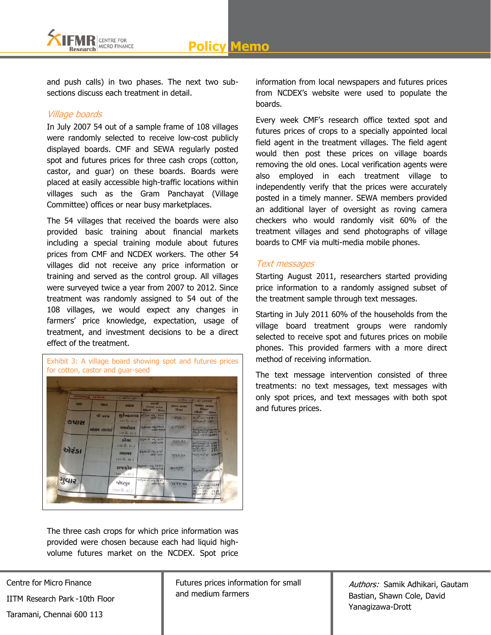

and push calls) in two phases. The next two subsections discuss each treatment in detail.

## Village boards

In July 2007 54 out of a sample frame of 108 villages were randomly selected to receive low-cost publicly displayed boards. CMF and SEWA regularly posted spot and futures prices for three cash crops (cotton, castor, and guar) on these boards. Boards were placed at easily accessible high-traffic locations within villages such as the Gram Panchayat (Village Committee) offices or near busy marketplaces.

The 54 villages that received the boards were also provided basic training about financial markets including a special training module about futures prices from CMF and NCDEX workers. The other 54 villages did not receive any price information or training and served as the control group. All villages were surveyed twice a year from 2007 to 2012. Since treatment was randomly assigned to 54 out of the 108 villages, we would expect any changes in farmers" price knowledge, expectation, usage of treatment, and investment decisions to be a direct effect of the treatment.

| $G + IC$     | 120446      | $=300$ or $121$                              |                                        |                            |                                                                         |
|--------------|-------------|----------------------------------------------|----------------------------------------|----------------------------|-------------------------------------------------------------------------|
| <b>VIS</b>   | Md          | earn                                         | Goimo<br>2005/ 2006<br>मलिलो           | GIVS GIGAN<br><b>Вінст</b> | $d12101 = C / 1$ /2006<br><b>ChPIO 1315112</b><br>Візин                 |
|              | वी ७६७      | सुरेन्द्रलगार<br>(국어 (중. 정표.)                | біна<br>21 Pues all - 850              | 858                        | H <sub>od</sub><br><b>Bisers</b><br><b>BILL</b> OC- DEV<br>Salverse 200 |
| <b>SYIZI</b> | неги систри | અભોહર<br>$(c \circ \mathbb{B}, 2\mathbb{H})$ | 0009-00-1008<br>31161-9358             | 20254                      | SHAHAR OF 2094<br>$20146 - 30 - 34196$                                  |
|              |             | slen<br>(20 (3.20)                           | $5942412 - 44 - 350$<br>$400 - 393$    | 880 20                     | 21-324127-05-88<br>$396$<br>2012-07-236                                 |
| એરંડા        |             | <b>GHOIP)</b><br>(20 (6. 20)                 | $5$ બ્રમમરી-વધુ-3cG<br>$44747 - 350$   | 83220                      | $-70.194744$<br>956<br>TOWN - OG LINE                                   |
|              |             | राष्ट्रीट<br>(900.5.31)                      | $592410 - 44 - 2634$<br>$6457 - 67746$ | 20957                      | $3912412 - 07 - 20965$                                                  |
| गुपार        |             | જોદાપુર                                      | $9993 - 6412$<br>$81737 - 841146$      | 9548.80                    | 91 - 4 2HILL-01-25.25                                                   |

The three cash crops for which price information was provided were chosen because each had liquid highvolume futures market on the NCDEX. Spot price information from local newspapers and futures prices from NCDEX"s website were used to populate the boards.

Every week CMF"s research office texted spot and futures prices of crops to a specially appointed local field agent in the treatment villages. The field agent would then post these prices on village boards removing the old ones. Local verification agents were also employed in each treatment village to independently verify that the prices were accurately posted in a timely manner. SEWA members provided an additional layer of oversight as roving camera checkers who would randomly visit 60% of the treatment villages and send photographs of village boards to CMF via multi-media mobile phones.

#### Text messages

Starting August 2011, researchers started providing price information to a randomly assigned subset of the treatment sample through text messages.

Starting in July 2011 60% of the households from the village board treatment groups were randomly selected to receive spot and futures prices on mobile phones. This provided farmers with a more direct method of receiving information.

The text message intervention consisted of three treatments: no text messages, text messages with only spot prices, and text messages with both spot and futures prices.

Centre for Micro Finance

IITM Research Park -10th Floor

Taramani, Chennai 600 113

Futures prices information for small and medium farmers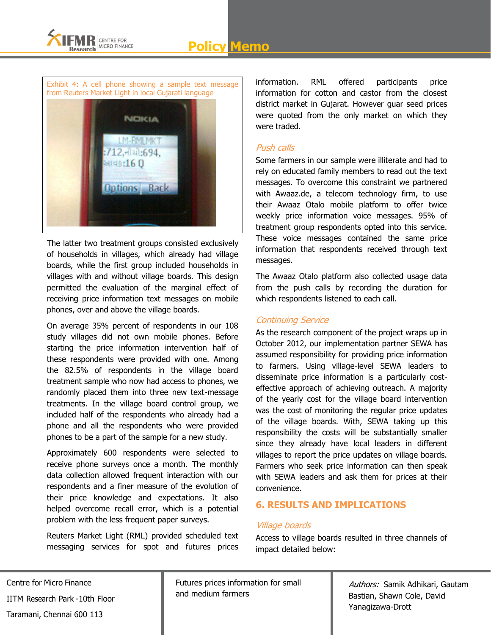

Exhibit 4: A cell phone showing a sample text message from Reuters Market Light in local Gujarati language



The latter two treatment groups consisted exclusively of households in villages, which already had village boards, while the first group included households in villages with and without village boards. This design permitted the evaluation of the marginal effect of receiving price information text messages on mobile phones, over and above the village boards.

On average 35% percent of respondents in our 108 study villages did not own mobile phones. Before starting the price information intervention half of these respondents were provided with one. Among the 82.5% of respondents in the village board treatment sample who now had access to phones, we randomly placed them into three new text-message treatments. In the village board control group, we included half of the respondents who already had a phone and all the respondents who were provided phones to be a part of the sample for a new study.

Approximately 600 respondents were selected to receive phone surveys once a month. The monthly data collection allowed frequent interaction with our respondents and a finer measure of the evolution of their price knowledge and expectations. It also helped overcome recall error, which is a potential problem with the less frequent paper surveys.

Reuters Market Light (RML) provided scheduled text messaging services for spot and futures prices information. RML offered participants price information for cotton and castor from the closest district market in Gujarat. However guar seed prices were quoted from the only market on which they were traded.

## Push calls

Some farmers in our sample were illiterate and had to rely on educated family members to read out the text messages. To overcome this constraint we partnered with Awaaz.de, a telecom technology firm, to use their Awaaz Otalo mobile platform to offer twice weekly price information voice messages. 95% of treatment group respondents opted into this service. These voice messages contained the same price information that respondents received through text messages.

The Awaaz Otalo platform also collected usage data from the push calls by recording the duration for which respondents listened to each call.

## Continuing Service

As the research component of the project wraps up in October 2012, our implementation partner SEWA has assumed responsibility for providing price information to farmers. Using village-level SEWA leaders to disseminate price information is a particularly costeffective approach of achieving outreach. A majority of the yearly cost for the village board intervention was the cost of monitoring the regular price updates of the village boards. With, SEWA taking up this responsibility the costs will be substantially smaller since they already have local leaders in different villages to report the price updates on village boards. Farmers who seek price information can then speak with SEWA leaders and ask them for prices at their convenience.

## **6. RESULTS AND IMPLICATIONS**

## Village boards

Access to village boards resulted in three channels of impact detailed below:

Centre for Micro Finance IITM Research Park -10th Floor Taramani, Chennai 600 113

Futures prices information for small and medium farmers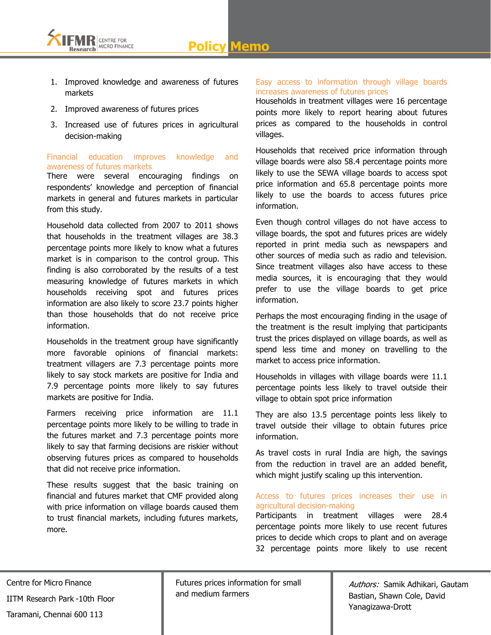**Policy Memo**



- 1. Improved knowledge and awareness of futures markets
- 2. Improved awareness of futures prices
- 3. Increased use of futures prices in agricultural decision-making

## Financial education improves knowledge and awareness of futures markets

There were several encouraging findings on respondents" knowledge and perception of financial markets in general and futures markets in particular from this study.

Household data collected from 2007 to 2011 shows that households in the treatment villages are 38.3 percentage points more likely to know what a futures market is in comparison to the control group. This finding is also corroborated by the results of a test measuring knowledge of futures markets in which households receiving spot and futures prices information are also likely to score 23.7 points higher than those households that do not receive price information.

Households in the treatment group have significantly more favorable opinions of financial markets: treatment villagers are 7.3 percentage points more likely to say stock markets are positive for India and 7.9 percentage points more likely to say futures markets are positive for India.

Farmers receiving price information are 11.1 percentage points more likely to be willing to trade in the futures market and 7.3 percentage points more likely to say that farming decisions are riskier without observing futures prices as compared to households that did not receive price information.

These results suggest that the basic training on financial and futures market that CMF provided along with price information on village boards caused them to trust financial markets, including futures markets, more.

## Easy access to information through village boards increases awareness of futures prices

Households in treatment villages were 16 percentage points more likely to report hearing about futures prices as compared to the households in control villages.

Households that received price information through village boards were also 58.4 percentage points more likely to use the SEWA village boards to access spot price information and 65.8 percentage points more likely to use the boards to access futures price information.

Even though control villages do not have access to village boards, the spot and futures prices are widely reported in print media such as newspapers and other sources of media such as radio and television. Since treatment villages also have access to these media sources, it is encouraging that they would prefer to use the village boards to get price information.

Perhaps the most encouraging finding in the usage of the treatment is the result implying that participants trust the prices displayed on village boards, as well as spend less time and money on travelling to the market to access price information.

Households in villages with village boards were 11.1 percentage points less likely to travel outside their village to obtain spot price information

They are also 13.5 percentage points less likely to travel outside their village to obtain futures price information.

As travel costs in rural India are high, the savings from the reduction in travel are an added benefit, which might justify scaling up this intervention.

#### Access to futures prices increases their use in agricultural decision-making

Participants in treatment villages were 28.4 percentage points more likely to use recent futures prices to decide which crops to plant and on average 32 percentage points more likely to use recent

Futures prices information for small and medium farmers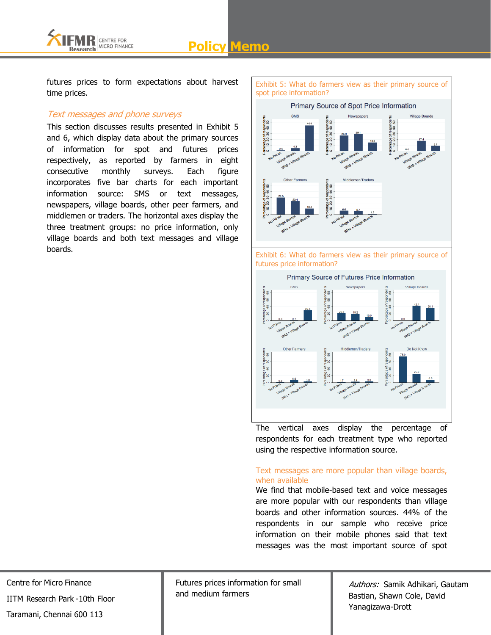**Policy Memo**



futures prices to form expectations about harvest time prices.

## Text messages and phone surveys

This section discusses results presented in Exhibit 5 and 6, which display data about the primary sources of information for spot and futures prices respectively, as reported by farmers in eight consecutive monthly surveys. Each figure incorporates five bar charts for each important information source: SMS or text messages, newspapers, village boards, other peer farmers, and middlemen or traders. The horizontal axes display the three treatment groups: no price information, only village boards and both text messages and village boards.



The vertical axes display the percentage of respondents for each treatment type who reported using the respective information source.

## Text messages are more popular than village boards, when available

We find that mobile-based text and voice messages are more popular with our respondents than village boards and other information sources. 44% of the respondents in our sample who receive price information on their mobile phones said that text messages was the most important source of spot

Centre for Micro Finance IITM Research Park -10th Floor Taramani, Chennai 600 113

Futures prices information for small and medium farmers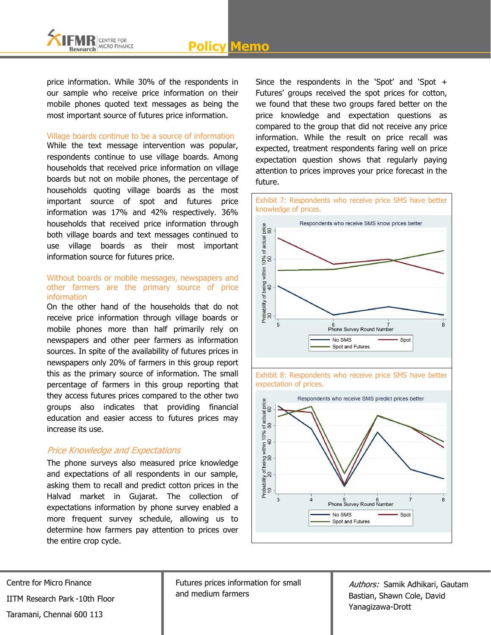

price information. While 30% of the respondents in our sample who receive price information on their mobile phones quoted text messages as being the most important source of futures price information.

#### Village boards continue to be a source of information

While the text message intervention was popular, respondents continue to use village boards. Among households that received price information on village boards but not on mobile phones, the percentage of households quoting village boards as the most important source of spot and futures price information was 17% and 42% respectively. 36% households that received price information through both village boards and text messages continued to use village boards as their most important information source for futures price.

#### Without boards or mobile messages, newspapers and other farmers are the primary source of price information

On the other hand of the households that do not receive price information through village boards or mobile phones more than half primarily rely on newspapers and other peer farmers as information sources. In spite of the availability of futures prices in newspapers only 20% of farmers in this group report this as the primary source of information. The small percentage of farmers in this group reporting that they access futures prices compared to the other two groups also indicates that providing financial education and easier access to futures prices may increase its use.

## Price Knowledge and Expectations

The phone surveys also measured price knowledge and expectations of all respondents in our sample, asking them to recall and predict cotton prices in the Halvad market in Gujarat. The collection of expectations information by phone survey enabled a more frequent survey schedule, allowing us to determine how farmers pay attention to prices over the entire crop cycle.

Since the respondents in the 'Spot' and 'Spot  $+$ Futures' groups received the spot prices for cotton, we found that these two groups fared better on the price knowledge and expectation questions as compared to the group that did not receive any price information. While the result on price recall was expected, treatment respondents faring well on price expectation question shows that regularly paying attention to prices improves your price forecast in the future.







Centre for Micro Finance IITM Research Park -10th Floor

Taramani, Chennai 600 113

Futures prices information for small and medium farmers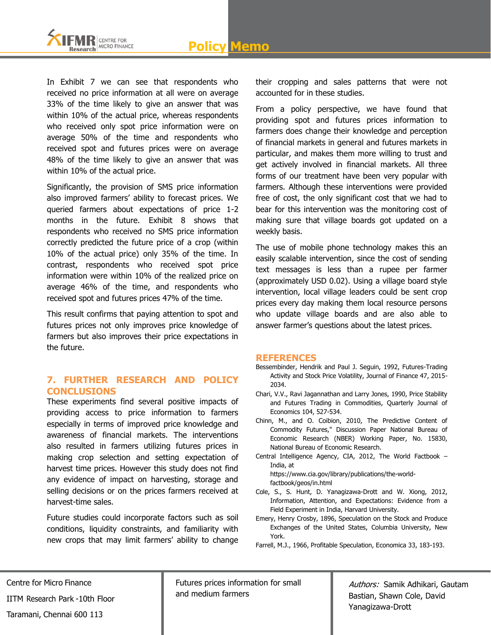

In Exhibit 7 we can see that respondents who received no price information at all were on average 33% of the time likely to give an answer that was within 10% of the actual price, whereas respondents who received only spot price information were on average 50% of the time and respondents who received spot and futures prices were on average 48% of the time likely to give an answer that was within 10% of the actual price.

Significantly, the provision of SMS price information also improved farmers' ability to forecast prices. We queried farmers about expectations of price 1-2 months in the future. Exhibit 8 shows that respondents who received no SMS price information correctly predicted the future price of a crop (within 10% of the actual price) only 35% of the time. In contrast, respondents who received spot price information were within 10% of the realized price on average 46% of the time, and respondents who received spot and futures prices 47% of the time.

This result confirms that paying attention to spot and futures prices not only improves price knowledge of farmers but also improves their price expectations in the future.

## **7. FURTHER RESEARCH AND POLICY CONCLUSIONS**

These experiments find several positive impacts of providing access to price information to farmers especially in terms of improved price knowledge and awareness of financial markets. The interventions also resulted in farmers utilizing futures prices in making crop selection and setting expectation of harvest time prices. However this study does not find any evidence of impact on harvesting, storage and selling decisions or on the prices farmers received at harvest-time sales.

Future studies could incorporate factors such as soil conditions, liquidity constraints, and familiarity with new crops that may limit farmers' ability to change

their cropping and sales patterns that were not accounted for in these studies.

From a policy perspective, we have found that providing spot and futures prices information to farmers does change their knowledge and perception of financial markets in general and futures markets in particular, and makes them more willing to trust and get actively involved in financial markets. All three forms of our treatment have been very popular with farmers. Although these interventions were provided free of cost, the only significant cost that we had to bear for this intervention was the monitoring cost of making sure that village boards got updated on a weekly basis.

The use of mobile phone technology makes this an easily scalable intervention, since the cost of sending text messages is less than a rupee per farmer (approximately USD 0.02). Using a village board style intervention, local village leaders could be sent crop prices every day making them local resource persons who update village boards and are also able to answer farmer"s questions about the latest prices.

#### **REFERENCES**

- Bessembinder, Hendrik and Paul J. Seguin, 1992, Futures-Trading Activity and Stock Price Volatility, Journal of Finance 47, 2015- 2034.
- Chari, V.V., Ravi Jagannathan and Larry Jones, 1990, Price Stability and Futures Trading in Commodities, Quarterly Journal of Economics 104, 527-534.
- Chinn, M., and O. Coibion, 2010, The Predictive Content of Commodity Futures," Discussion Paper National Bureau of Economic Research (NBER) Working Paper, No. 15830, National Bureau of Economic Research.
- Central Intelligence Agency, CIA, 2012, The World Factbook India, at

https://www.cia.gov/library/publications/the-worldfactbook/geos/in.html

- Cole, S., S. Hunt, D. Yanagizawa-Drott and W. Xiong, 2012, Information, Attention, and Expectations: Evidence from a Field Experiment in India, Harvard University.
- Emery, Henry Crosby, 1896, Speculation on the Stock and Produce Exchanges of the United States, Columbia University, New York.

Farrell, M.J., 1966, Profitable Speculation, Economica 33, 183-193.

Centre for Micro Finance IITM Research Park -10th Floor Taramani, Chennai 600 113

Futures prices information for small and medium farmers